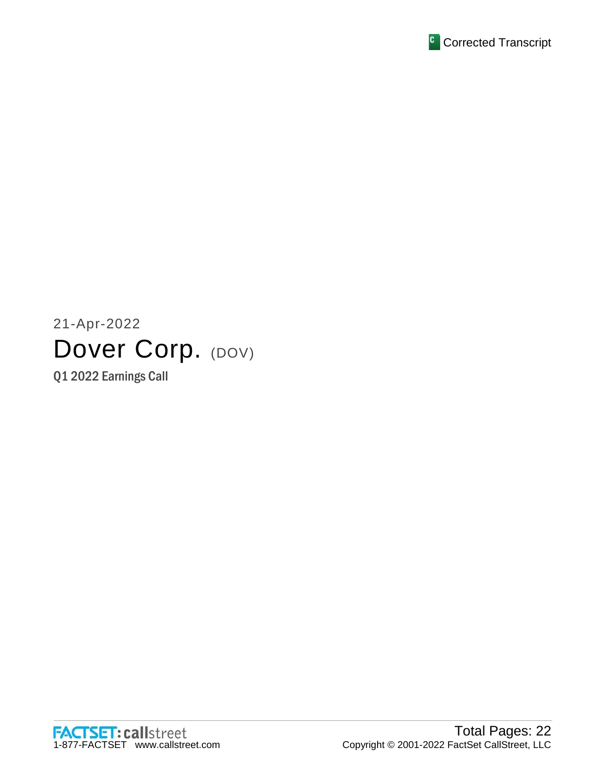

# 21-Apr-2022 Dover Corp. (DOV)

Q1 2022 Earnings Call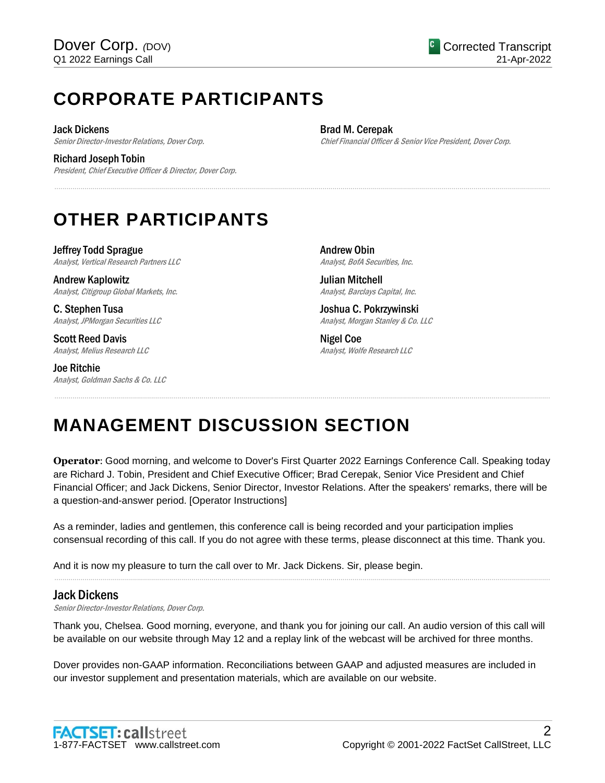# **CORPORATE PARTICIPANTS**

Jack Dickens

Senior Director-Investor Relations, Dover Corp.

Richard Joseph Tobin

President, Chief Executive Officer & Director, Dover Corp.

Brad M. Cerepak Chief Financial Officer & Senior Vice President, Dover Corp.

# **OTHER PARTICIPANTS**

Jeffrey Todd Sprague Analyst, Vertical Research Partners LLC

Andrew Kaplowitz Analyst, Citigroup Global Markets, Inc.

C. Stephen Tusa Analyst, JPMorgan Securities LLC

Scott Reed Davis Analyst, Melius Research LLC

Joe Ritchie Analyst, Goldman Sachs & Co. LLC Andrew Obin Analyst, BofA Securities, Inc.

Julian Mitchell Analyst, Barclays Capital, Inc.

Joshua C. Pokrzywinski Analyst, Morgan Stanley & Co. LLC

Nigel Coe Analyst, Wolfe Research LLC

# **MANAGEMENT DISCUSSION SECTION**

**Operator**: Good morning, and welcome to Dover's First Quarter 2022 Earnings Conference Call. Speaking today are Richard J. Tobin, President and Chief Executive Officer; Brad Cerepak, Senior Vice President and Chief Financial Officer; and Jack Dickens, Senior Director, Investor Relations. After the speakers' remarks, there will be a question-and-answer period. [Operator Instructions]

......................................................................................................................................................................................................................................................

......................................................................................................................................................................................................................................................

As a reminder, ladies and gentlemen, this conference call is being recorded and your participation implies consensual recording of this call. If you do not agree with these terms, please disconnect at this time. Thank you.

......................................................................................................................................................................................................................................................

And it is now my pleasure to turn the call over to Mr. Jack Dickens. Sir, please begin.

# Jack Dickens

Senior Director-Investor Relations, Dover Corp.

Thank you, Chelsea. Good morning, everyone, and thank you for joining our call. An audio version of this call will be available on our website through May 12 and a replay link of the webcast will be archived for three months.

Dover provides non-GAAP information. Reconciliations between GAAP and adjusted measures are included in our investor supplement and presentation materials, which are available on our website.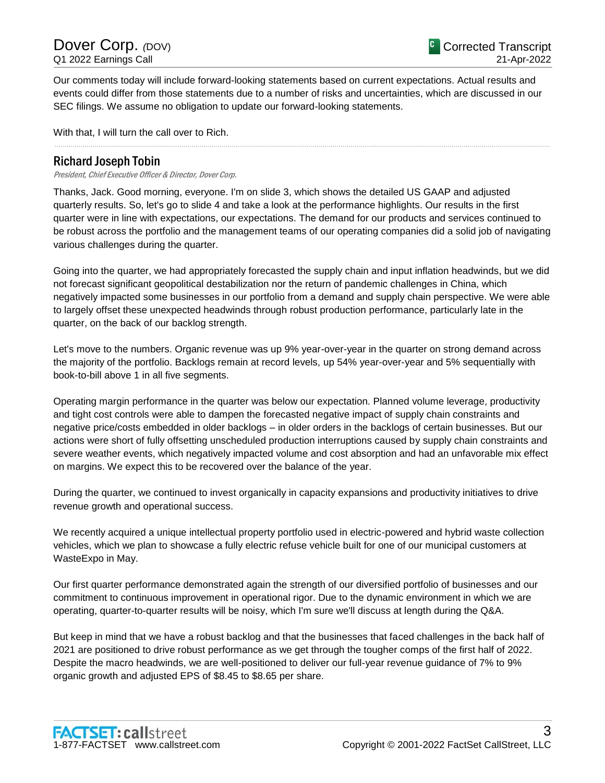Dover Corp. *(DOV)* Q1 2022 Earnings Call

Our comments today will include forward-looking statements based on current expectations. Actual results and events could differ from those statements due to a number of risks and uncertainties, which are discussed in our SEC filings. We assume no obligation to update our forward-looking statements.

......................................................................................................................................................................................................................................................

With that, I will turn the call over to Rich.

## Richard Joseph Tobin

President, Chief Executive Officer & Director, Dover Corp.

Thanks, Jack. Good morning, everyone. I'm on slide 3, which shows the detailed US GAAP and adjusted quarterly results. So, let's go to slide 4 and take a look at the performance highlights. Our results in the first quarter were in line with expectations, our expectations. The demand for our products and services continued to be robust across the portfolio and the management teams of our operating companies did a solid job of navigating various challenges during the quarter.

Going into the quarter, we had appropriately forecasted the supply chain and input inflation headwinds, but we did not forecast significant geopolitical destabilization nor the return of pandemic challenges in China, which negatively impacted some businesses in our portfolio from a demand and supply chain perspective. We were able to largely offset these unexpected headwinds through robust production performance, particularly late in the quarter, on the back of our backlog strength.

Let's move to the numbers. Organic revenue was up 9% year-over-year in the quarter on strong demand across the majority of the portfolio. Backlogs remain at record levels, up 54% year-over-year and 5% sequentially with book-to-bill above 1 in all five segments.

Operating margin performance in the quarter was below our expectation. Planned volume leverage, productivity and tight cost controls were able to dampen the forecasted negative impact of supply chain constraints and negative price/costs embedded in older backlogs – in older orders in the backlogs of certain businesses. But our actions were short of fully offsetting unscheduled production interruptions caused by supply chain constraints and severe weather events, which negatively impacted volume and cost absorption and had an unfavorable mix effect on margins. We expect this to be recovered over the balance of the year.

During the quarter, we continued to invest organically in capacity expansions and productivity initiatives to drive revenue growth and operational success.

We recently acquired a unique intellectual property portfolio used in electric-powered and hybrid waste collection vehicles, which we plan to showcase a fully electric refuse vehicle built for one of our municipal customers at WasteExpo in May.

Our first quarter performance demonstrated again the strength of our diversified portfolio of businesses and our commitment to continuous improvement in operational rigor. Due to the dynamic environment in which we are operating, quarter-to-quarter results will be noisy, which I'm sure we'll discuss at length during the Q&A.

But keep in mind that we have a robust backlog and that the businesses that faced challenges in the back half of 2021 are positioned to drive robust performance as we get through the tougher comps of the first half of 2022. Despite the macro headwinds, we are well-positioned to deliver our full-year revenue guidance of 7% to 9% organic growth and adjusted EPS of \$8.45 to \$8.65 per share.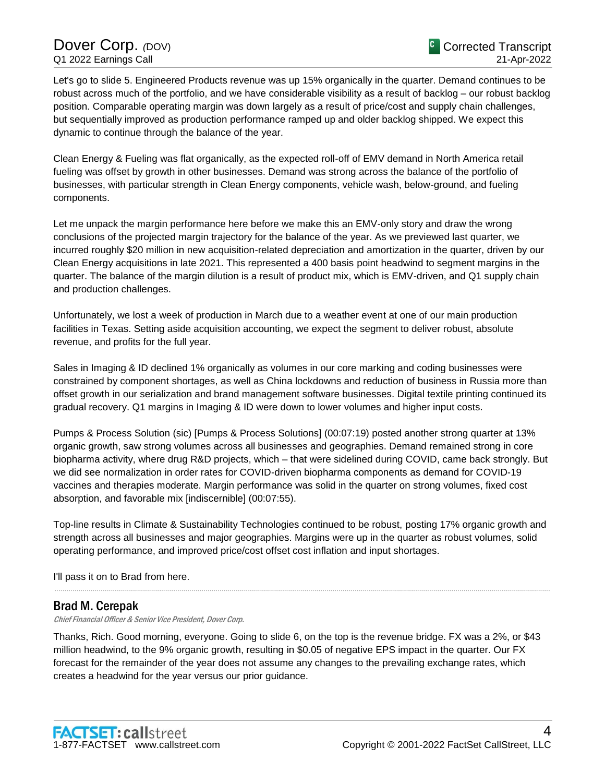# Dover Corp. *(DOV)* Q1 2022 Earnings Call

Let's go to slide 5. Engineered Products revenue was up 15% organically in the quarter. Demand continues to be robust across much of the portfolio, and we have considerable visibility as a result of backlog – our robust backlog position. Comparable operating margin was down largely as a result of price/cost and supply chain challenges, but sequentially improved as production performance ramped up and older backlog shipped. We expect this dynamic to continue through the balance of the year.

Clean Energy & Fueling was flat organically, as the expected roll-off of EMV demand in North America retail fueling was offset by growth in other businesses. Demand was strong across the balance of the portfolio of businesses, with particular strength in Clean Energy components, vehicle wash, below-ground, and fueling components.

Let me unpack the margin performance here before we make this an EMV-only story and draw the wrong conclusions of the projected margin trajectory for the balance of the year. As we previewed last quarter, we incurred roughly \$20 million in new acquisition-related depreciation and amortization in the quarter, driven by our Clean Energy acquisitions in late 2021. This represented a 400 basis point headwind to segment margins in the quarter. The balance of the margin dilution is a result of product mix, which is EMV-driven, and Q1 supply chain and production challenges.

Unfortunately, we lost a week of production in March due to a weather event at one of our main production facilities in Texas. Setting aside acquisition accounting, we expect the segment to deliver robust, absolute revenue, and profits for the full year.

Sales in Imaging & ID declined 1% organically as volumes in our core marking and coding businesses were constrained by component shortages, as well as China lockdowns and reduction of business in Russia more than offset growth in our serialization and brand management software businesses. Digital textile printing continued its gradual recovery. Q1 margins in Imaging & ID were down to lower volumes and higher input costs.

Pumps & Process Solution (sic) [Pumps & Process Solutions] (00:07:19) posted another strong quarter at 13% organic growth, saw strong volumes across all businesses and geographies. Demand remained strong in core biopharma activity, where drug R&D projects, which – that were sidelined during COVID, came back strongly. But we did see normalization in order rates for COVID-driven biopharma components as demand for COVID-19 vaccines and therapies moderate. Margin performance was solid in the quarter on strong volumes, fixed cost absorption, and favorable mix [indiscernible] (00:07:55).

Top-line results in Climate & Sustainability Technologies continued to be robust, posting 17% organic growth and strength across all businesses and major geographies. Margins were up in the quarter as robust volumes, solid operating performance, and improved price/cost offset cost inflation and input shortages.

......................................................................................................................................................................................................................................................

I'll pass it on to Brad from here.

## Brad M. Cerepak

Chief Financial Officer & Senior Vice President, Dover Corp.

Thanks, Rich. Good morning, everyone. Going to slide 6, on the top is the revenue bridge. FX was a 2%, or \$43 million headwind, to the 9% organic growth, resulting in \$0.05 of negative EPS impact in the quarter. Our FX forecast for the remainder of the year does not assume any changes to the prevailing exchange rates, which creates a headwind for the year versus our prior guidance.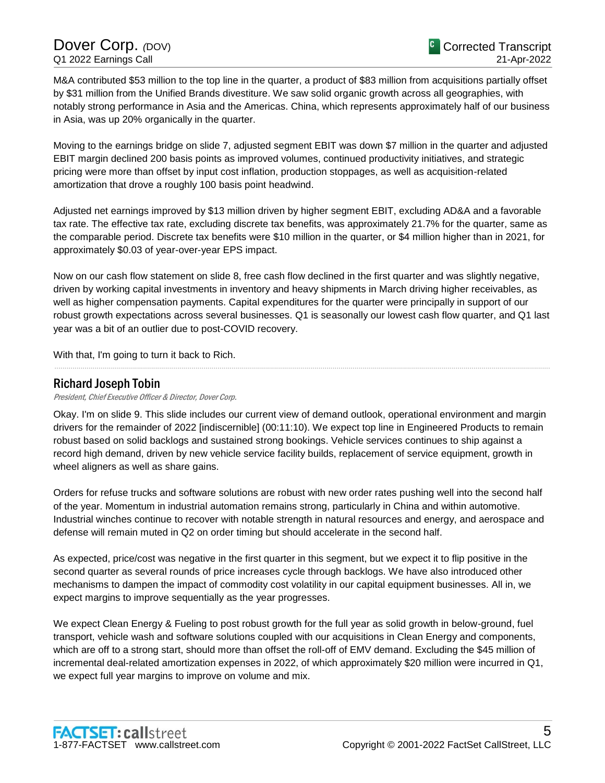M&A contributed \$53 million to the top line in the quarter, a product of \$83 million from acquisitions partially offset by \$31 million from the Unified Brands divestiture. We saw solid organic growth across all geographies, with notably strong performance in Asia and the Americas. China, which represents approximately half of our business in Asia, was up 20% organically in the quarter.

Moving to the earnings bridge on slide 7, adjusted segment EBIT was down \$7 million in the quarter and adjusted EBIT margin declined 200 basis points as improved volumes, continued productivity initiatives, and strategic pricing were more than offset by input cost inflation, production stoppages, as well as acquisition-related amortization that drove a roughly 100 basis point headwind.

Adjusted net earnings improved by \$13 million driven by higher segment EBIT, excluding AD&A and a favorable tax rate. The effective tax rate, excluding discrete tax benefits, was approximately 21.7% for the quarter, same as the comparable period. Discrete tax benefits were \$10 million in the quarter, or \$4 million higher than in 2021, for approximately \$0.03 of year-over-year EPS impact.

Now on our cash flow statement on slide 8, free cash flow declined in the first quarter and was slightly negative, driven by working capital investments in inventory and heavy shipments in March driving higher receivables, as well as higher compensation payments. Capital expenditures for the quarter were principally in support of our robust growth expectations across several businesses. Q1 is seasonally our lowest cash flow quarter, and Q1 last year was a bit of an outlier due to post-COVID recovery.

......................................................................................................................................................................................................................................................

With that, I'm going to turn it back to Rich.

# Richard Joseph Tobin

President, Chief Executive Officer & Director, Dover Corp.

Okay. I'm on slide 9. This slide includes our current view of demand outlook, operational environment and margin drivers for the remainder of 2022 [indiscernible] (00:11:10). We expect top line in Engineered Products to remain robust based on solid backlogs and sustained strong bookings. Vehicle services continues to ship against a record high demand, driven by new vehicle service facility builds, replacement of service equipment, growth in wheel aligners as well as share gains.

Orders for refuse trucks and software solutions are robust with new order rates pushing well into the second half of the year. Momentum in industrial automation remains strong, particularly in China and within automotive. Industrial winches continue to recover with notable strength in natural resources and energy, and aerospace and defense will remain muted in Q2 on order timing but should accelerate in the second half.

As expected, price/cost was negative in the first quarter in this segment, but we expect it to flip positive in the second quarter as several rounds of price increases cycle through backlogs. We have also introduced other mechanisms to dampen the impact of commodity cost volatility in our capital equipment businesses. All in, we expect margins to improve sequentially as the year progresses.

We expect Clean Energy & Fueling to post robust growth for the full year as solid growth in below-ground, fuel transport, vehicle wash and software solutions coupled with our acquisitions in Clean Energy and components, which are off to a strong start, should more than offset the roll-off of EMV demand. Excluding the \$45 million of incremental deal-related amortization expenses in 2022, of which approximately \$20 million were incurred in Q1, we expect full year margins to improve on volume and mix.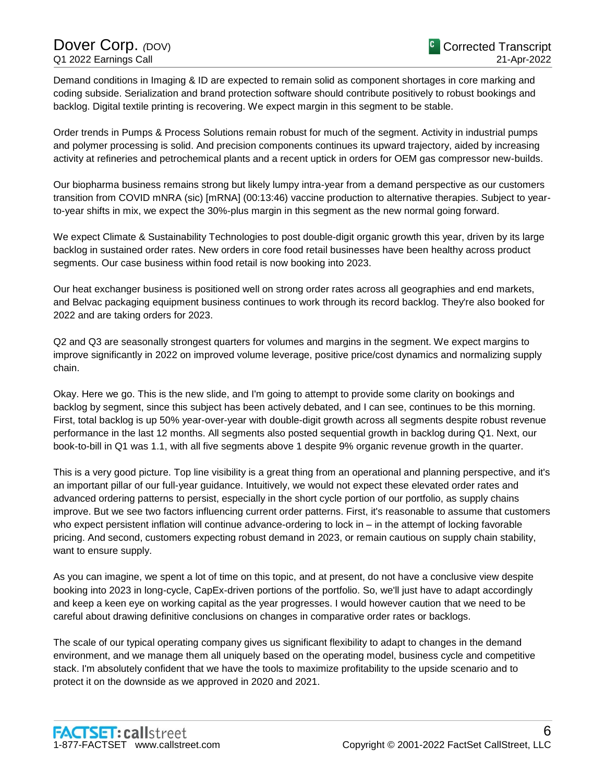Demand conditions in Imaging & ID are expected to remain solid as component shortages in core marking and coding subside. Serialization and brand protection software should contribute positively to robust bookings and backlog. Digital textile printing is recovering. We expect margin in this segment to be stable.

Order trends in Pumps & Process Solutions remain robust for much of the segment. Activity in industrial pumps and polymer processing is solid. And precision components continues its upward trajectory, aided by increasing activity at refineries and petrochemical plants and a recent uptick in orders for OEM gas compressor new-builds.

Our biopharma business remains strong but likely lumpy intra-year from a demand perspective as our customers transition from COVID mNRA (sic) [mRNA] (00:13:46) vaccine production to alternative therapies. Subject to yearto-year shifts in mix, we expect the 30%-plus margin in this segment as the new normal going forward.

We expect Climate & Sustainability Technologies to post double-digit organic growth this year, driven by its large backlog in sustained order rates. New orders in core food retail businesses have been healthy across product segments. Our case business within food retail is now booking into 2023.

Our heat exchanger business is positioned well on strong order rates across all geographies and end markets, and Belvac packaging equipment business continues to work through its record backlog. They're also booked for 2022 and are taking orders for 2023.

Q2 and Q3 are seasonally strongest quarters for volumes and margins in the segment. We expect margins to improve significantly in 2022 on improved volume leverage, positive price/cost dynamics and normalizing supply chain.

Okay. Here we go. This is the new slide, and I'm going to attempt to provide some clarity on bookings and backlog by segment, since this subject has been actively debated, and I can see, continues to be this morning. First, total backlog is up 50% year-over-year with double-digit growth across all segments despite robust revenue performance in the last 12 months. All segments also posted sequential growth in backlog during Q1. Next, our book-to-bill in Q1 was 1.1, with all five segments above 1 despite 9% organic revenue growth in the quarter.

This is a very good picture. Top line visibility is a great thing from an operational and planning perspective, and it's an important pillar of our full-year guidance. Intuitively, we would not expect these elevated order rates and advanced ordering patterns to persist, especially in the short cycle portion of our portfolio, as supply chains improve. But we see two factors influencing current order patterns. First, it's reasonable to assume that customers who expect persistent inflation will continue advance-ordering to lock in – in the attempt of locking favorable pricing. And second, customers expecting robust demand in 2023, or remain cautious on supply chain stability, want to ensure supply.

As you can imagine, we spent a lot of time on this topic, and at present, do not have a conclusive view despite booking into 2023 in long-cycle, CapEx-driven portions of the portfolio. So, we'll just have to adapt accordingly and keep a keen eye on working capital as the year progresses. I would however caution that we need to be careful about drawing definitive conclusions on changes in comparative order rates or backlogs.

The scale of our typical operating company gives us significant flexibility to adapt to changes in the demand environment, and we manage them all uniquely based on the operating model, business cycle and competitive stack. I'm absolutely confident that we have the tools to maximize profitability to the upside scenario and to protect it on the downside as we approved in 2020 and 2021.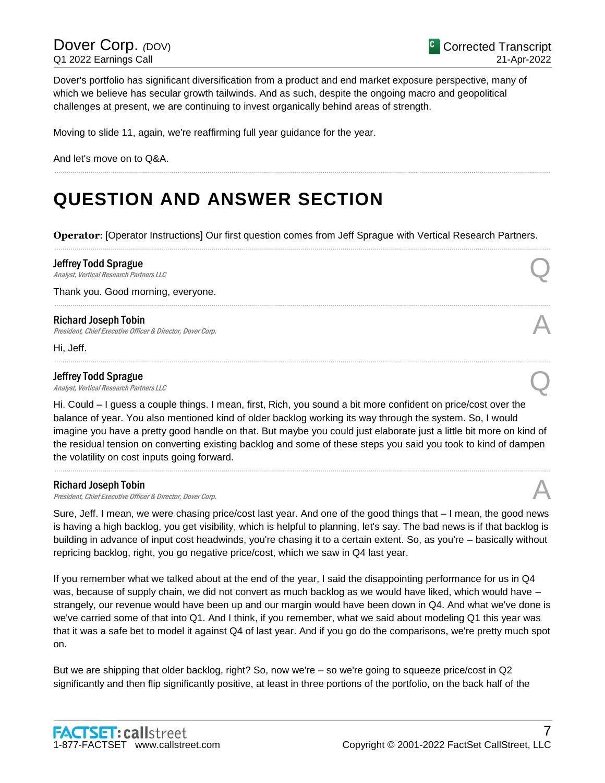Dover's portfolio has significant diversification from a product and end market exposure perspective, many of which we believe has secular growth tailwinds. And as such, despite the ongoing macro and geopolitical challenges at present, we are continuing to invest organically behind areas of strength.

Moving to slide 11, again, we're reaffirming full year guidance for the year.

And let's move on to Q&A.

# **QUESTION AND ANSWER SECTION**

**Operator**: [Operator Instructions] Our first question comes from Jeff Sprague with Vertical Research Partners. ......................................................................................................................................................................................................................................................

......................................................................................................................................................................................................................................................

......................................................................................................................................................................................................................................................

......................................................................................................................................................................................................................................................

### Jeffrey Todd Sprague

**Jeffrey Todd Sprague**<br>Analyst, Vertical Research Partners LLC Q

Thank you. Good morning, everyone.

### Richard Joseph Tobin

President, Chief Executive Officer & Director, Dover Corp.

Hi, Jeff.

### Jeffrey Todd Sprague

**Jeffrey Todd Sprague**<br>Analyst, Vertical Research Partners LLC Q

Hi. Could – I guess a couple things. I mean, first, Rich, you sound a bit more confident on price/cost over the balance of year. You also mentioned kind of older backlog working its way through the system. So, I would imagine you have a pretty good handle on that. But maybe you could just elaborate just a little bit more on kind of the residual tension on converting existing backlog and some of these steps you said you took to kind of dampen the volatility on cost inputs going forward.

......................................................................................................................................................................................................................................................

### Richard Joseph Tobin

Richard Joseph Tobin<br>President, Chief Executive Officer & Director, Dover Corp.

Sure, Jeff. I mean, we were chasing price/cost last year. And one of the good things that – I mean, the good news is having a high backlog, you get visibility, which is helpful to planning, let's say. The bad news is if that backlog is building in advance of input cost headwinds, you're chasing it to a certain extent. So, as you're – basically without repricing backlog, right, you go negative price/cost, which we saw in Q4 last year.

If you remember what we talked about at the end of the year, I said the disappointing performance for us in Q4 was, because of supply chain, we did not convert as much backlog as we would have liked, which would have strangely, our revenue would have been up and our margin would have been down in Q4. And what we've done is we've carried some of that into Q1. And I think, if you remember, what we said about modeling Q1 this year was that it was a safe bet to model it against Q4 of last year. And if you go do the comparisons, we're pretty much spot on.

But we are shipping that older backlog, right? So, now we're – so we're going to squeeze price/cost in Q2 significantly and then flip significantly positive, at least in three portions of the portfolio, on the back half of the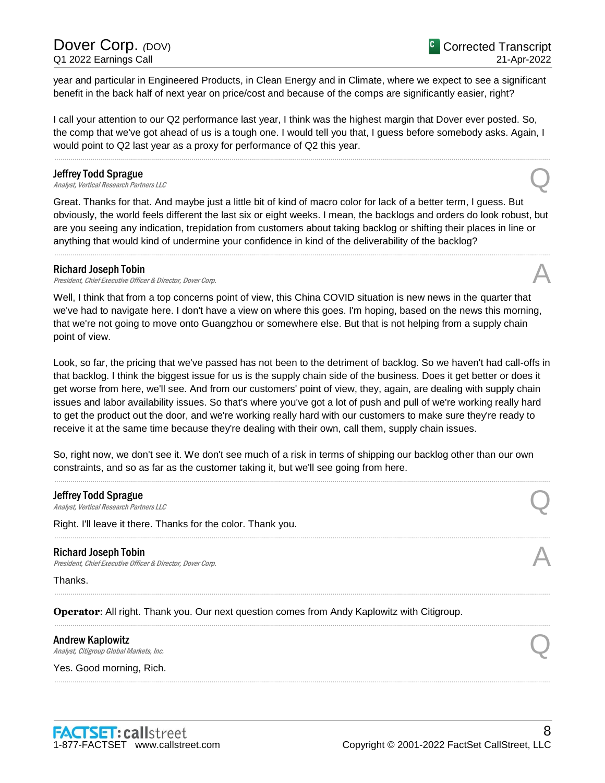# Dover Corp. *(DOV)* Q1 2022 Earnings Call

year and particular in Engineered Products, in Clean Energy and in Climate, where we expect to see a significant benefit in the back half of next year on price/cost and because of the comps are significantly easier, right?

I call your attention to our Q2 performance last year, I think was the highest margin that Dover ever posted. So, the comp that we've got ahead of us is a tough one. I would tell you that, I guess before somebody asks. Again, I would point to Q2 last year as a proxy for performance of Q2 this year.

......................................................................................................................................................................................................................................................

### Jeffrey Todd Sprague

**Jeffrey Todd Sprague**<br>Analyst, Vertical Research Partners LLC

Great. Thanks for that. And maybe just a little bit of kind of macro color for lack of a better term, I guess. But obviously, the world feels different the last six or eight weeks. I mean, the backlogs and orders do look robust, but are you seeing any indication, trepidation from customers about taking backlog or shifting their places in line or anything that would kind of undermine your confidence in kind of the deliverability of the backlog?

......................................................................................................................................................................................................................................................

### Richard Joseph Tobin

Richard Joseph Tobin<br>President, Chief Executive Officer & Director, Dover Corp.

Well, I think that from a top concerns point of view, this China COVID situation is new news in the quarter that we've had to navigate here. I don't have a view on where this goes. I'm hoping, based on the news this morning, that we're not going to move onto Guangzhou or somewhere else. But that is not helping from a supply chain point of view.

Look, so far, the pricing that we've passed has not been to the detriment of backlog. So we haven't had call-offs in that backlog. I think the biggest issue for us is the supply chain side of the business. Does it get better or does it get worse from here, we'll see. And from our customers' point of view, they, again, are dealing with supply chain issues and labor availability issues. So that's where you've got a lot of push and pull of we're working really hard to get the product out the door, and we're working really hard with our customers to make sure they're ready to receive it at the same time because they're dealing with their own, call them, supply chain issues.

So, right now, we don't see it. We don't see much of a risk in terms of shipping our backlog other than our own constraints, and so as far as the customer taking it, but we'll see going from here.

......................................................................................................................................................................................................................................................

......................................................................................................................................................................................................................................................

......................................................................................................................................................................................................................................................

......................................................................................................................................................................................................................................................

......................................................................................................................................................................................................................................................

## Jeffrey Todd Sprague

**Jeffrey Todd Sprague**<br>Analyst, Vertical Research Partners LLC Q

Right. I'll leave it there. Thanks for the color. Thank you.

### Richard Joseph Tobin

Richard Joseph Tobin<br>President, Chief Executive Officer & Director, Dover Corp.

Thanks.

**Operator**: All right. Thank you. Our next question comes from Andy Kaplowitz with Citigroup.

### Andrew Kaplowitz

Andrew Kaplowitz<br>Analyst, Citigroup Global Markets, Inc. Quality Controls and Analyst, Citigroup Global Markets, Inc.

Yes. Good morning, Rich.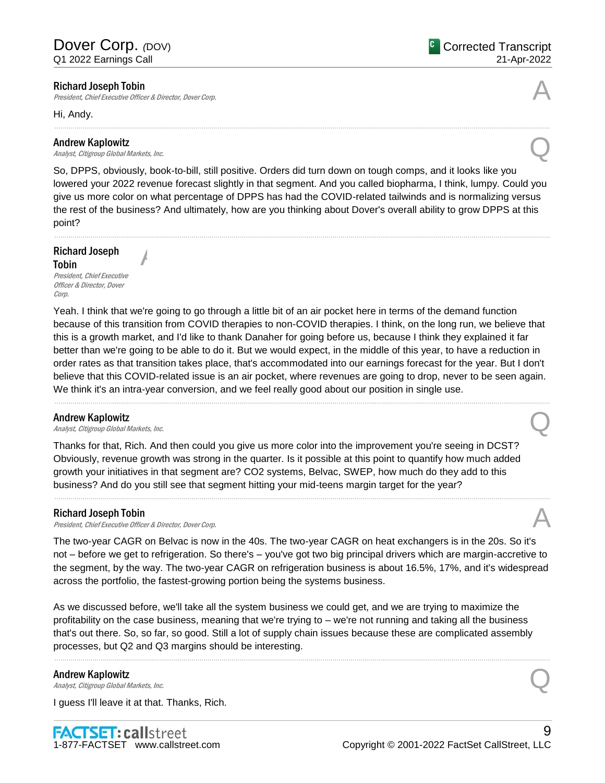President, Chief Executive Officer & Director, Dover Corp.

A

Hi, Andy.

### Andrew Kaplowitz

Andrew Kaplowitz<br>Analyst, Citigroup Global Markets, Inc. Quality Controls and Analyst, Citigroup Global Markets, Inc.

So, DPPS, obviously, book-to-bill, still positive. Orders did turn down on tough comps, and it looks like you lowered your 2022 revenue forecast slightly in that segment. And you called biopharma, I think, lumpy. Could you give us more color on what percentage of DPPS has had the COVID-related tailwinds and is normalizing versus the rest of the business? And ultimately, how are you thinking about Dover's overall ability to grow DPPS at this point?

......................................................................................................................................................................................................................................................

......................................................................................................................................................................................................................................................

Richard Joseph Tobin President, Chief Executive Officer & Director, Dover

Corp.

Yeah. I think that we're going to go through a little bit of an air pocket here in terms of the demand function because of this transition from COVID therapies to non-COVID therapies. I think, on the long run, we believe that this is a growth market, and I'd like to thank Danaher for going before us, because I think they explained it far better than we're going to be able to do it. But we would expect, in the middle of this year, to have a reduction in order rates as that transition takes place, that's accommodated into our earnings forecast for the year. But I don't believe that this COVID-related issue is an air pocket, where revenues are going to drop, never to be seen again. We think it's an intra-year conversion, and we feel really good about our position in single use.

......................................................................................................................................................................................................................................................

**Andrew Kaplowitz**<br>Analyst, Citigroup Global Markets, Inc. Andrew Kaplowitz<br>Analyst, Citigroup Global Markets, Inc. Quality Controls and Analyst, Citigroup Global Markets, Inc.

Thanks for that, Rich. And then could you give us more color into the improvement you're seeing in DCST? Obviously, revenue growth was strong in the quarter. Is it possible at this point to quantify how much added growth your initiatives in that segment are? CO2 systems, Belvac, SWEP, how much do they add to this business? And do you still see that segment hitting your mid-teens margin target for the year?

### Richard Joseph Tobin

Richard Joseph Tobin<br>President, Chief Executive Officer & Director, Dover Corp.

The two-year CAGR on Belvac is now in the 40s. The two-year CAGR on heat exchangers is in the 20s. So it's not – before we get to refrigeration. So there's – you've got two big principal drivers which are margin-accretive to the segment, by the way. The two-year CAGR on refrigeration business is about 16.5%, 17%, and it's widespread across the portfolio, the fastest-growing portion being the systems business.

......................................................................................................................................................................................................................................................

As we discussed before, we'll take all the system business we could get, and we are trying to maximize the profitability on the case business, meaning that we're trying to – we're not running and taking all the business that's out there. So, so far, so good. Still a lot of supply chain issues because these are complicated assembly processes, but Q2 and Q3 margins should be interesting.

......................................................................................................................................................................................................................................................

### Andrew Kaplowitz

Andrew Kaplowitz<br>Analyst, Citigroup Global Markets, Inc. Quality Controls and Analyst, Citigroup Global Markets, Inc.

I guess I'll leave it at that. Thanks, Rich.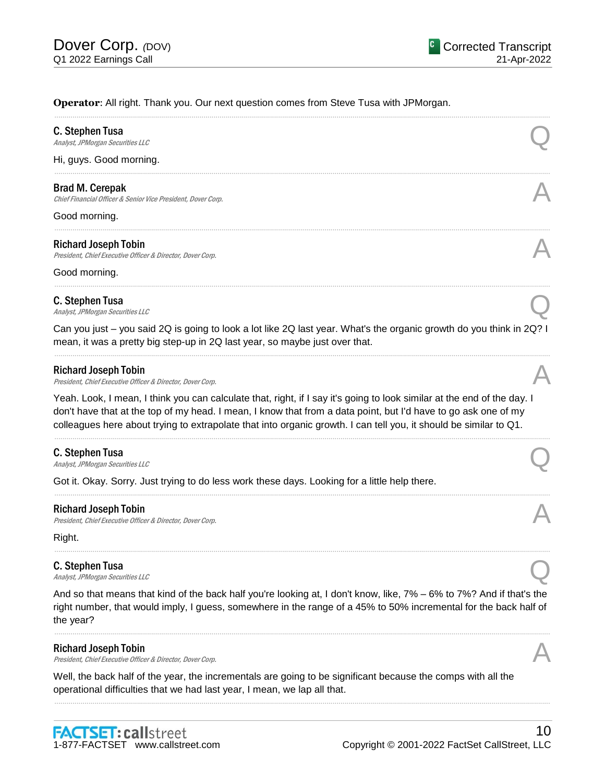### **Operator**: All right. Thank you. Our next question comes from Steve Tusa with JPMorgan.

| C. Stephen Tusa<br>Analyst, JPMorgan Securities LLC                                                                                                                                                                                                                                                                                                            |  |
|----------------------------------------------------------------------------------------------------------------------------------------------------------------------------------------------------------------------------------------------------------------------------------------------------------------------------------------------------------------|--|
| Hi, guys. Good morning.                                                                                                                                                                                                                                                                                                                                        |  |
| Brad M. Cerepak<br>Chief Financial Officer & Senior Vice President, Dover Corp.                                                                                                                                                                                                                                                                                |  |
| Good morning.                                                                                                                                                                                                                                                                                                                                                  |  |
| <b>Richard Joseph Tobin</b><br>President, Chief Executive Officer & Director, Dover Corp.                                                                                                                                                                                                                                                                      |  |
| Good morning.                                                                                                                                                                                                                                                                                                                                                  |  |
| C. Stephen Tusa<br>Analyst, JPMorgan Securities LLC                                                                                                                                                                                                                                                                                                            |  |
| Can you just – you said 2Q is going to look a lot like 2Q last year. What's the organic growth do you think in 2Q? I<br>mean, it was a pretty big step-up in 2Q last year, so maybe just over that.                                                                                                                                                            |  |
| <b>Richard Joseph Tobin</b><br>President, Chief Executive Officer & Director, Dover Corp.                                                                                                                                                                                                                                                                      |  |
| Yeah. Look, I mean, I think you can calculate that, right, if I say it's going to look similar at the end of the day. I<br>don't have that at the top of my head. I mean, I know that from a data point, but I'd have to go ask one of my<br>colleagues here about trying to extrapolate that into organic growth. I can tell you, it should be similar to Q1. |  |
| C. Stephen Tusa<br>Analyst, JPMorgan Securities LLC                                                                                                                                                                                                                                                                                                            |  |
| Got it. Okay. Sorry. Just trying to do less work these days. Looking for a little help there.                                                                                                                                                                                                                                                                  |  |
| <b>Richard Joseph Tobin</b><br>President, Chief Executive Officer & Director, Dover Corp.                                                                                                                                                                                                                                                                      |  |
| Right.                                                                                                                                                                                                                                                                                                                                                         |  |
| C. Stephen Tusa<br>Analyst, JPMorgan Securities LLC                                                                                                                                                                                                                                                                                                            |  |
| And so that means that kind of the back half you're looking at, I don't know, like, 7% – 6% to 7%? And if that's the<br>right number, that would imply, I guess, somewhere in the range of a 45% to 50% incremental for the back half of<br>the year?                                                                                                          |  |
| <b>Richard Joseph Tobin</b><br>President, Chief Executive Officer & Director, Dover Corp.                                                                                                                                                                                                                                                                      |  |

Well, the back half of the year, the incrementals are going to be significant because the comps with all the operational difficulties that we had last year, I mean, we lap all that.

......................................................................................................................................................................................................................................................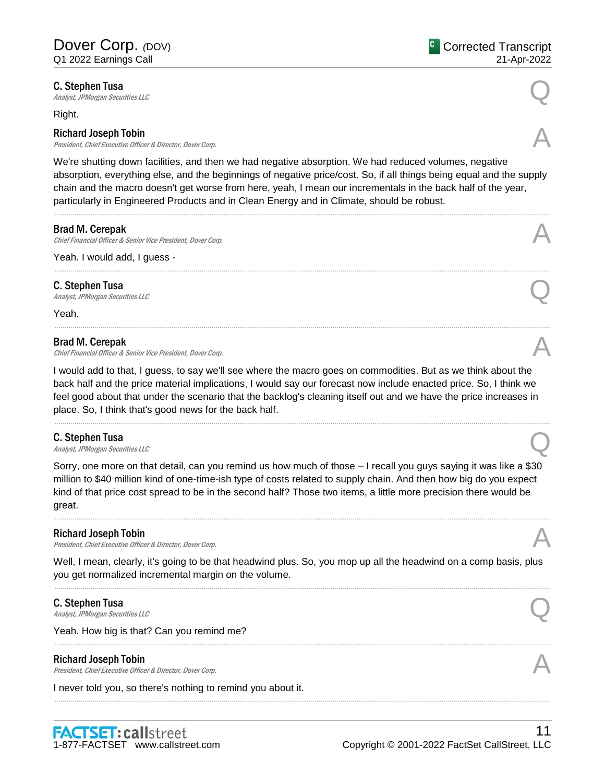**C. Stephen Tusa**<br>Analyst, JPMorgan Securities LLC **C. Stephen Tusa**<br>Analyst, JPMorgan Securities LLC

Right.

### Richard Joseph Tobin

President, Chief Executive Officer & Director, Dover Corp.

We're shutting down facilities, and then we had negative absorption. We had reduced volumes, negative absorption, everything else, and the beginnings of negative price/cost. So, if all things being equal and the supply chain and the macro doesn't get worse from here, yeah, I mean our incrementals in the back half of the year, particularly in Engineered Products and in Clean Energy and in Climate, should be robust.

......................................................................................................................................................................................................................................................

......................................................................................................................................................................................................................................................

......................................................................................................................................................................................................................................................

### Brad M. Cerepak

Chief Financial Officer & Senior Vice President, Dover Corp. A

Yeah. I would add, I guess -

C. Stephen Tusa **C. Stephen Tusa**<br>Analyst, JPMorgan Securities LLC

Yeah.

### Brad M. Cerepak

Chief Financial Officer & Senior Vice President, Dover Corp.

I would add to that, I guess, to say we'll see where the macro goes on commodities. But as we think about the back half and the price material implications, I would say our forecast now include enacted price. So, I think we feel good about that under the scenario that the backlog's cleaning itself out and we have the price increases in place. So, I think that's good news for the back half.

......................................................................................................................................................................................................................................................

### C. Stephen Tusa

**C. Stephen Tusa**<br>Analyst, JPMorgan Securities LLC

Sorry, one more on that detail, can you remind us how much of those – I recall you guys saying it was like a \$30 million to \$40 million kind of one-time-ish type of costs related to supply chain. And then how big do you expect kind of that price cost spread to be in the second half? Those two items, a little more precision there would be great.

......................................................................................................................................................................................................................................................

### Richard Joseph Tobin

President, Chief Executive Officer & Director, Dover Corp.

Well, I mean, clearly, it's going to be that headwind plus. So, you mop up all the headwind on a comp basis, plus you get normalized incremental margin on the volume.

......................................................................................................................................................................................................................................................

......................................................................................................................................................................................................................................................

......................................................................................................................................................................................................................................................

**C. Stephen Tusa**<br>Analyst, JPMorgan Securities LLC **C. Stephen Tusa**<br>Analyst, JPMorgan Securities LLC

Yeah. How big is that? Can you remind me?

### Richard Joseph Tobin

Richard Joseph Tobin<br>President, Chief Executive Officer & Director, Dover Corp.

I never told you, so there's nothing to remind you about it.











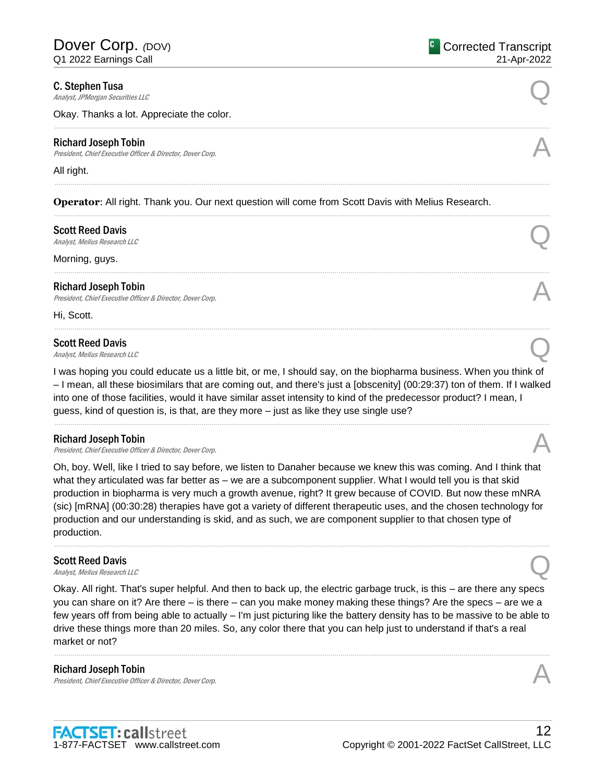**C. Stephen Tusa**<br>Analyst, JPMorgan Securities LLC **C. Stephen Tusa**<br>Analyst, JPMorgan Securities LLC

Okay. Thanks a lot. Appreciate the color.

### Richard Joseph Tobin

Richard Joseph Tobin<br>President, Chief Executive Officer & Director, Dover Corp.

### All right.

**Operator**: All right. Thank you. Our next question will come from Scott Davis with Melius Research.

......................................................................................................................................................................................................................................................

......................................................................................................................................................................................................................................................

......................................................................................................................................................................................................................................................

......................................................................................................................................................................................................................................................

......................................................................................................................................................................................................................................................

# Scott Reed Davis Scott Reed Davis  $\bigodot$ <br>Analyst, Melius Research LLC

Morning, guys.

### Richard Joseph Tobin

President, Chief Executive Officer & Director, Dover Corp.

Hi, Scott.

# Scott Reed Davis Scott Reed Davis  $\bigotimes$ <br>Analyst, Melius Research LLC

I was hoping you could educate us a little bit, or me, I should say, on the biopharma business. When you think of – I mean, all these biosimilars that are coming out, and there's just a [obscenity] (00:29:37) ton of them. If I walked into one of those facilities, would it have similar asset intensity to kind of the predecessor product? I mean, I guess, kind of question is, is that, are they more – just as like they use single use?

......................................................................................................................................................................................................................................................

### Richard Joseph Tobin

President, Chief Executive Officer & Director, Dover Corp.

Oh, boy. Well, like I tried to say before, we listen to Danaher because we knew this was coming. And I think that what they articulated was far better as – we are a subcomponent supplier. What I would tell you is that skid production in biopharma is very much a growth avenue, right? It grew because of COVID. But now these mNRA (sic) [mRNA] (00:30:28) therapies have got a variety of different therapeutic uses, and the chosen technology for production and our understanding is skid, and as such, we are component supplier to that chosen type of production.

......................................................................................................................................................................................................................................................

# **Scott Reed Davis**<br>Analyst, Melius Research LLC Scott Reed Davis  $\bigodot$ <br>Analyst, Melius Research LLC

Okay. All right. That's super helpful. And then to back up, the electric garbage truck, is this – are there any specs you can share on it? Are there – is there – can you make money making these things? Are the specs – are we a few years off from being able to actually – I'm just picturing like the battery density has to be massive to be able to drive these things more than 20 miles. So, any color there that you can help just to understand if that's a real market or not?

......................................................................................................................................................................................................................................................

### Richard Joseph Tobin

President, Chief Executive Officer & Director, Dover Corp.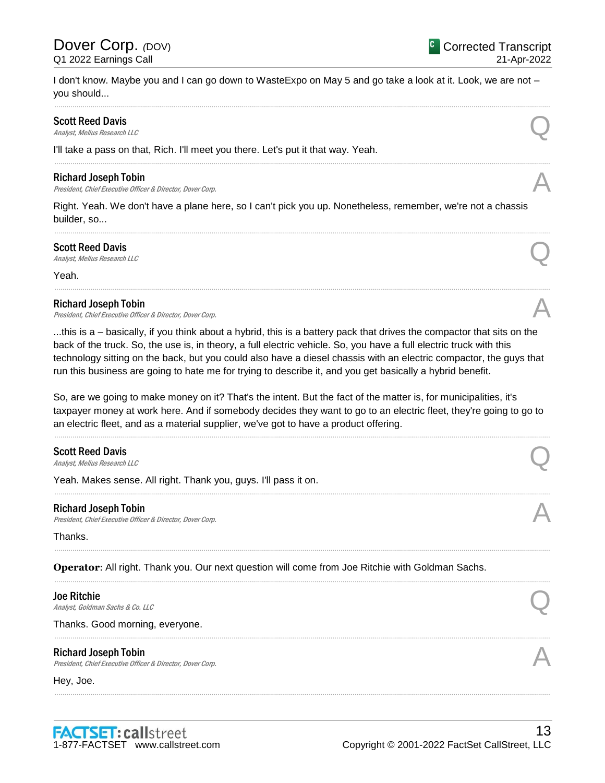I don't know. Maybe you and I can go down to WasteExpo on May 5 and go take a look at it. Look, we are not – you should...

......................................................................................................................................................................................................................................................

......................................................................................................................................................................................................................................................

......................................................................................................................................................................................................................................................

......................................................................................................................................................................................................................................................

# Scott Reed Davis Scott Reed Davis  $\bigodot$ <br>Analyst, Melius Research LLC

I'll take a pass on that, Rich. I'll meet you there. Let's put it that way. Yeah.

### Richard Joseph Tobin

President, Chief Executive Officer & Director, Dover Corp.

Right. Yeah. We don't have a plane here, so I can't pick you up. Nonetheless, remember, we're not a chassis builder, so...

# Scott Reed Davis Scott Reed Davis  $\bigodot$ <br>Analyst, Melius Research LLC

Yeah.

### Richard Joseph Tobin

President, Chief Executive Officer & Director, Dover Corp.

...this is a – basically, if you think about a hybrid, this is a battery pack that drives the compactor that sits on the back of the truck. So, the use is, in theory, a full electric vehicle. So, you have a full electric truck with this technology sitting on the back, but you could also have a diesel chassis with an electric compactor, the guys that run this business are going to hate me for trying to describe it, and you get basically a hybrid benefit.

So, are we going to make money on it? That's the intent. But the fact of the matter is, for municipalities, it's taxpayer money at work here. And if somebody decides they want to go to an electric fleet, they're going to go to an electric fleet, and as a material supplier, we've got to have a product offering.

......................................................................................................................................................................................................................................................

......................................................................................................................................................................................................................................................

......................................................................................................................................................................................................................................................

......................................................................................................................................................................................................................................................

......................................................................................................................................................................................................................................................

......................................................................................................................................................................................................................................................

# **Scott Reed Davis**<br>Analyst, Melius Research LLC Scott Reed Davis  $\bigodot$ <br>Analyst, Melius Research LLC

Yeah. Makes sense. All right. Thank you, guys. I'll pass it on.

### Richard Joseph Tobin

Richard Joseph Tobin<br>President, Chief Executive Officer & Director, Dover Corp. And The Corp. And The President, Chief Executive Officer & Director, Dover Corp.

Thanks.

**Operator**: All right. Thank you. Our next question will come from Joe Ritchie with Goldman Sachs.

### Joe Ritchie

**Joe Ritchie**<br>Analyst, Goldman Sachs & Co. LLC

Thanks. Good morning, everyone.

### Richard Joseph Tobin

President, Chief Executive Officer & Director, Dover Corp.

Hey, Joe.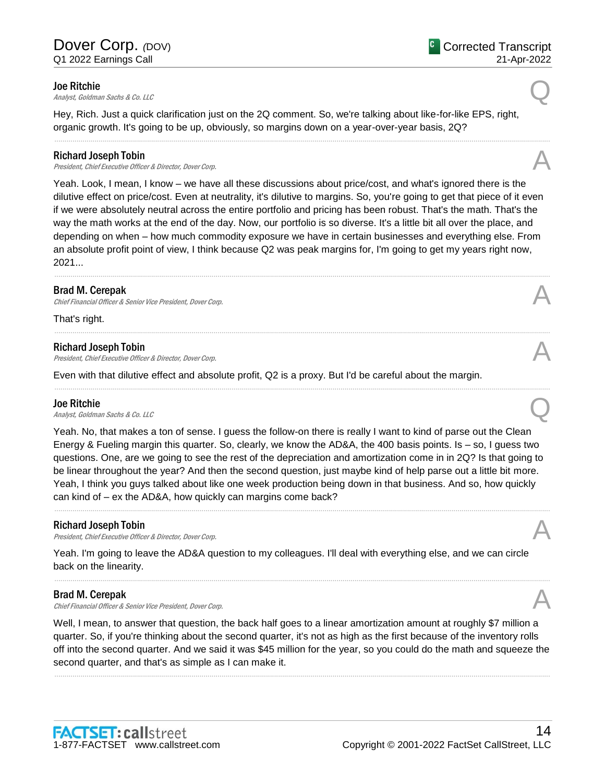**Joe Ritchie**<br>Analyst, Goldman Sachs & Co. LLC

Hey, Rich. Just a quick clarification just on the 2Q comment. So, we're talking about like-for-like EPS, right, organic growth. It's going to be up, obviously, so margins down on a year-over-year basis, 2Q?

......................................................................................................................................................................................................................................................

### Richard Joseph Tobin

Richard Joseph Tobin<br>President, Chief Executive Officer & Director, Dover Corp.

Yeah. Look, I mean, I know – we have all these discussions about price/cost, and what's ignored there is the dilutive effect on price/cost. Even at neutrality, it's dilutive to margins. So, you're going to get that piece of it even if we were absolutely neutral across the entire portfolio and pricing has been robust. That's the math. That's the way the math works at the end of the day. Now, our portfolio is so diverse. It's a little bit all over the place, and depending on when – how much commodity exposure we have in certain businesses and everything else. From an absolute profit point of view, I think because Q2 was peak margins for, I'm going to get my years right now, 2021... ......................................................................................................................................................................................................................................................

......................................................................................................................................................................................................................................................

......................................................................................................................................................................................................................................................

### Brad M. Cerepak

Chief Financial Officer & Senior Vice President, Dover Corp.

That's right.

### Richard Joseph Tobin

President, Chief Executive Officer & Director, Dover Corp.

Even with that dilutive effect and absolute profit, Q2 is a proxy. But I'd be careful about the margin.

### Joe Ritchie

**Joe Ritchie**<br>Analyst, Goldman Sachs & Co. LLC

Yeah. No, that makes a ton of sense. I guess the follow-on there is really I want to kind of parse out the Clean Energy & Fueling margin this quarter. So, clearly, we know the AD&A, the 400 basis points. Is – so, I guess two questions. One, are we going to see the rest of the depreciation and amortization come in in 2Q? Is that going to be linear throughout the year? And then the second question, just maybe kind of help parse out a little bit more. Yeah, I think you guys talked about like one week production being down in that business. And so, how quickly can kind of – ex the AD&A, how quickly can margins come back?

......................................................................................................................................................................................................................................................

### Richard Joseph Tobin

President, Chief Executive Officer & Director, Dover Corp.

Yeah. I'm going to leave the AD&A question to my colleagues. I'll deal with everything else, and we can circle back on the linearity.

### Brad M. Cerepak

Chief Financial Officer & Senior Vice President, Dover Corp.

Well, I mean, to answer that question, the back half goes to a linear amortization amount at roughly \$7 million a quarter. So, if you're thinking about the second quarter, it's not as high as the first because of the inventory rolls off into the second quarter. And we said it was \$45 million for the year, so you could do the math and squeeze the second quarter, and that's as simple as I can make it.

......................................................................................................................................................................................................................................................

......................................................................................................................................................................................................................................................

Corrected Transcript



21-Apr-2022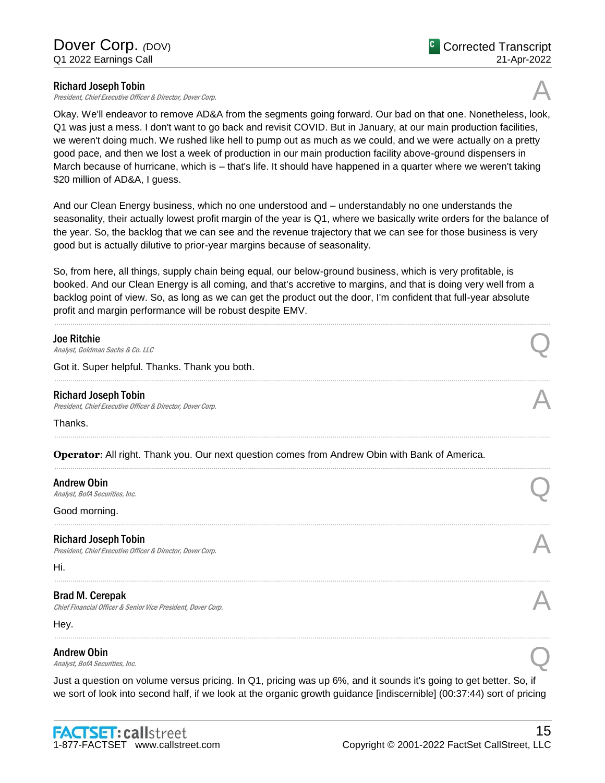President, Chief Executive Officer & Director, Dover Corp.



Okay. We'll endeavor to remove AD&A from the segments going forward. Our bad on that one. Nonetheless, look, Q1 was just a mess. I don't want to go back and revisit COVID. But in January, at our main production facilities, we weren't doing much. We rushed like hell to pump out as much as we could, and we were actually on a pretty good pace, and then we lost a week of production in our main production facility above-ground dispensers in March because of hurricane, which is – that's life. It should have happened in a quarter where we weren't taking \$20 million of AD&A, I guess.

And our Clean Energy business, which no one understood and – understandably no one understands the seasonality, their actually lowest profit margin of the year is Q1, where we basically write orders for the balance of the year. So, the backlog that we can see and the revenue trajectory that we can see for those business is very good but is actually dilutive to prior-year margins because of seasonality.

So, from here, all things, supply chain being equal, our below-ground business, which is very profitable, is booked. And our Clean Energy is all coming, and that's accretive to margins, and that is doing very well from a backlog point of view. So, as long as we can get the product out the door, I'm confident that full-year absolute profit and margin performance will be robust despite EMV.

| <b>Joe Ritchie</b>                                                                                                                                                                                                                           |  |
|----------------------------------------------------------------------------------------------------------------------------------------------------------------------------------------------------------------------------------------------|--|
| Analyst, Goldman Sachs & Co. LLC<br>Got it. Super helpful. Thanks. Thank you both.                                                                                                                                                           |  |
|                                                                                                                                                                                                                                              |  |
| <b>Richard Joseph Tobin</b><br>President, Chief Executive Officer & Director, Dover Corp.                                                                                                                                                    |  |
| Thanks.                                                                                                                                                                                                                                      |  |
| Operator: All right. Thank you. Our next question comes from Andrew Obin with Bank of America.                                                                                                                                               |  |
| <b>Andrew Obin</b><br>Analyst, BofA Securities, Inc.                                                                                                                                                                                         |  |
| Good morning.                                                                                                                                                                                                                                |  |
| <b>Richard Joseph Tobin</b><br>President, Chief Executive Officer & Director, Dover Corp.                                                                                                                                                    |  |
| Hi.                                                                                                                                                                                                                                          |  |
| <b>Brad M. Cerepak</b><br>Chief Financial Officer & Senior Vice President, Dover Corp.                                                                                                                                                       |  |
| Hey.                                                                                                                                                                                                                                         |  |
| <b>Andrew Obin</b><br>Analyst, BofA Securities, Inc.                                                                                                                                                                                         |  |
| Just a question on volume versus pricing. In Q1, pricing was up 6%, and it sounds it's going to get better. So, if<br>we sort of look into second half, if we look at the organic growth guidance [indiscernible] (00:37:44) sort of pricing |  |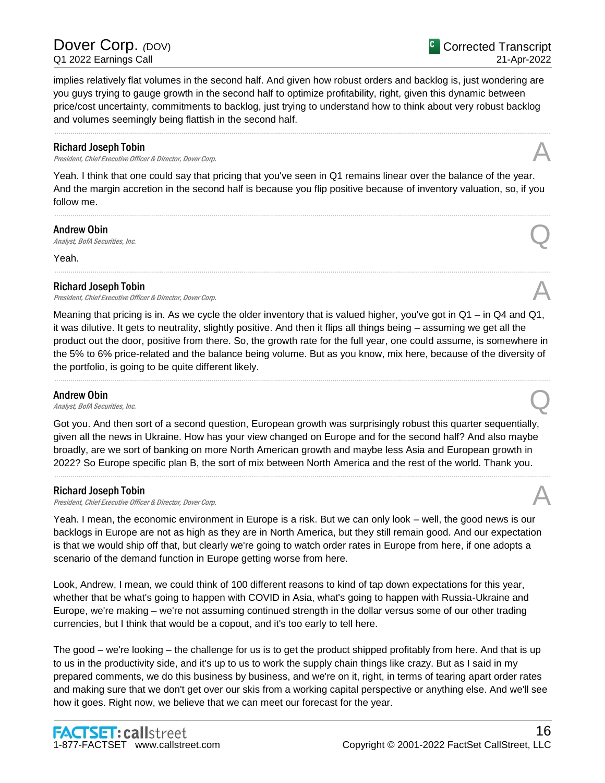Dover Corp. <sub>(DOV)</sub> Q1 2022 Earnings Call

implies relatively flat volumes in the second half. And given how robust orders and backlog is, just wondering are you guys trying to gauge growth in the second half to optimize profitability, right, given this dynamic between price/cost uncertainty, commitments to backlog, just trying to understand how to think about very robust backlog and volumes seemingly being flattish in the second half.

......................................................................................................................................................................................................................................................

### Richard Joseph Tobin

President, Chief Executive Officer & Director, Dover Corp.

Yeah. I think that one could say that pricing that you've seen in Q1 remains linear over the balance of the year. And the margin accretion in the second half is because you flip positive because of inventory valuation, so, if you follow me.

......................................................................................................................................................................................................................................................

......................................................................................................................................................................................................................................................

**Andrew Obin**<br>Analyst, BofA Securities, Inc. Andrew Obin  $\bigodot$ <br>Analyst, BofA Securities, Inc.

### Yeah.

### Richard Joseph Tobin

Richard Joseph Tobin<br>President, Chief Executive Officer & Director, Dover Corp. And The Corp. And The President, Chief Executive Officer & Director, Dover Corp.

Meaning that pricing is in. As we cycle the older inventory that is valued higher, you've got in Q1 – in Q4 and Q1, it was dilutive. It gets to neutrality, slightly positive. And then it flips all things being – assuming we get all the product out the door, positive from there. So, the growth rate for the full year, one could assume, is somewhere in the 5% to 6% price-related and the balance being volume. But as you know, mix here, because of the diversity of the portfolio, is going to be quite different likely.

......................................................................................................................................................................................................................................................

### Andrew Obin

Andrew Obin  $\bigodot$ <br>Analyst, BofA Securities, Inc.

Got you. And then sort of a second question, European growth was surprisingly robust this quarter sequentially, given all the news in Ukraine. How has your view changed on Europe and for the second half? And also maybe broadly, are we sort of banking on more North American growth and maybe less Asia and European growth in 2022? So Europe specific plan B, the sort of mix between North America and the rest of the world. Thank you.

......................................................................................................................................................................................................................................................

### Richard Joseph Tobin

Richard Joseph Tobin<br>President, Chief Executive Officer & Director, Dover Corp.

Yeah. I mean, the economic environment in Europe is a risk. But we can only look – well, the good news is our backlogs in Europe are not as high as they are in North America, but they still remain good. And our expectation is that we would ship off that, but clearly we're going to watch order rates in Europe from here, if one adopts a scenario of the demand function in Europe getting worse from here.

Look, Andrew, I mean, we could think of 100 different reasons to kind of tap down expectations for this year, whether that be what's going to happen with COVID in Asia, what's going to happen with Russia-Ukraine and Europe, we're making – we're not assuming continued strength in the dollar versus some of our other trading currencies, but I think that would be a copout, and it's too early to tell here.

The good – we're looking – the challenge for us is to get the product shipped profitably from here. And that is up to us in the productivity side, and it's up to us to work the supply chain things like crazy. But as I said in my prepared comments, we do this business by business, and we're on it, right, in terms of tearing apart order rates and making sure that we don't get over our skis from a working capital perspective or anything else. And we'll see how it goes. Right now, we believe that we can meet our forecast for the year.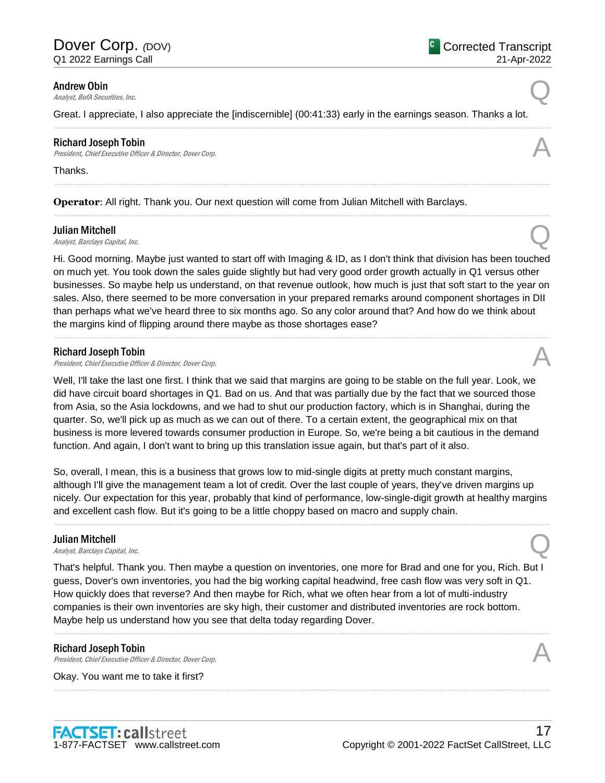**Andrew Obin**<br>Analyst, BofA Securities, Inc. Andrew Obin  $\bigodot$ <br>Analyst, BofA Securities, Inc.

Great. I appreciate, I also appreciate the [indiscernible] (00:41:33) early in the earnings season. Thanks a lot.

......................................................................................................................................................................................................................................................

......................................................................................................................................................................................................................................................

......................................................................................................................................................................................................................................................

### Richard Joseph Tobin

Richard Joseph Tobin<br>President, Chief Executive Officer & Director, Dover Corp.

### Thanks.

**Operator**: All right. Thank you. Our next question will come from Julian Mitchell with Barclays.

### Julian Mitchell

**Julian Mitchell**<br>Analyst, Barclays Capital, Inc.  $\bigotimes$ 

Hi. Good morning. Maybe just wanted to start off with Imaging & ID, as I don't think that division has been touched on much yet. You took down the sales guide slightly but had very good order growth actually in Q1 versus other businesses. So maybe help us understand, on that revenue outlook, how much is just that soft start to the year on sales. Also, there seemed to be more conversation in your prepared remarks around component shortages in DII than perhaps what we've heard three to six months ago. So any color around that? And how do we think about the margins kind of flipping around there maybe as those shortages ease?

......................................................................................................................................................................................................................................................

### Richard Joseph Tobin

President, Chief Executive Officer & Director, Dover Corp.

Well, I'll take the last one first. I think that we said that margins are going to be stable on the full year. Look, we did have circuit board shortages in Q1. Bad on us. And that was partially due by the fact that we sourced those from Asia, so the Asia lockdowns, and we had to shut our production factory, which is in Shanghai, during the quarter. So, we'll pick up as much as we can out of there. To a certain extent, the geographical mix on that business is more levered towards consumer production in Europe. So, we're being a bit cautious in the demand function. And again, I don't want to bring up this translation issue again, but that's part of it also.

So, overall, I mean, this is a business that grows low to mid-single digits at pretty much constant margins, although I'll give the management team a lot of credit. Over the last couple of years, they've driven margins up nicely. Our expectation for this year, probably that kind of performance, low-single-digit growth at healthy margins and excellent cash flow. But it's going to be a little choppy based on macro and supply chain.

......................................................................................................................................................................................................................................................

### Julian Mitchell

**Julian Mitchell**<br>Analyst, Barclays Capital, Inc.  $\bigotimes$ 

That's helpful. Thank you. Then maybe a question on inventories, one more for Brad and one for you, Rich. But I guess, Dover's own inventories, you had the big working capital headwind, free cash flow was very soft in Q1. How quickly does that reverse? And then maybe for Rich, what we often hear from a lot of multi-industry companies is their own inventories are sky high, their customer and distributed inventories are rock bottom. Maybe help us understand how you see that delta today regarding Dover.

......................................................................................................................................................................................................................................................

......................................................................................................................................................................................................................................................

### Richard Joseph Tobin

Richard Joseph Tobin<br>President, Chief Executive Officer & Director, Dover Corp.

Okay. You want me to take it first?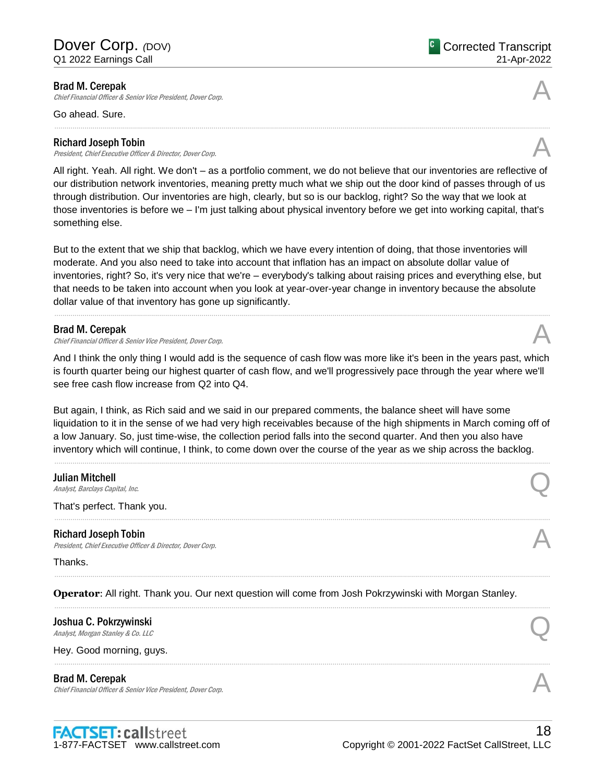### Brad M. Cerepak

Chief Financial Officer & Senior Vice President, Dover Corp.

Go ahead. Sure.

### Richard Joseph Tobin

Richard Joseph Tobin<br>President, Chief Executive Officer & Director, Dover Corp.

All right. Yeah. All right. We don't – as a portfolio comment, we do not believe that our inventories are reflective of our distribution network inventories, meaning pretty much what we ship out the door kind of passes through of us through distribution. Our inventories are high, clearly, but so is our backlog, right? So the way that we look at those inventories is before we – I'm just talking about physical inventory before we get into working capital, that's something else.

But to the extent that we ship that backlog, which we have every intention of doing, that those inventories will moderate. And you also need to take into account that inflation has an impact on absolute dollar value of inventories, right? So, it's very nice that we're – everybody's talking about raising prices and everything else, but that needs to be taken into account when you look at year-over-year change in inventory because the absolute dollar value of that inventory has gone up significantly.

......................................................................................................................................................................................................................................................

### Brad M. Cerepak

Chief Financial Officer & Senior Vice President, Dover Corp.

And I think the only thing I would add is the sequence of cash flow was more like it's been in the years past, which is fourth quarter being our highest quarter of cash flow, and we'll progressively pace through the year where we'll see free cash flow increase from Q2 into Q4.

But again, I think, as Rich said and we said in our prepared comments, the balance sheet will have some liquidation to it in the sense of we had very high receivables because of the high shipments in March coming off of a low January. So, just time-wise, the collection period falls into the second quarter. And then you also have inventory which will continue, I think, to come down over the course of the year as we ship across the backlog.

......................................................................................................................................................................................................................................................

......................................................................................................................................................................................................................................................

......................................................................................................................................................................................................................................................

**Julian Mitchell**<br>Analyst, Barclays Capital, Inc. **Julian Mitchell**<br>Analyst, Barclays Capital, Inc.  $\bigotimes$ 

That's perfect. Thank you.

### Richard Joseph Tobin

President, Chief Executive Officer & Director, Dover Corp.

### Thanks.

**Operator**: All right. Thank you. Our next question will come from Josh Pokrzywinski with Morgan Stanley.

Joshua C. Pokrzywinski **Joshua C. Pokrzywinski**<br>Analyst, Morgan Stanley & Co. LLC

Hey. Good morning, guys.

### Brad M. Cerepak

Chief Financial Officer & Senior Vice President, Dover Corp.



......................................................................................................................................................................................................................................................



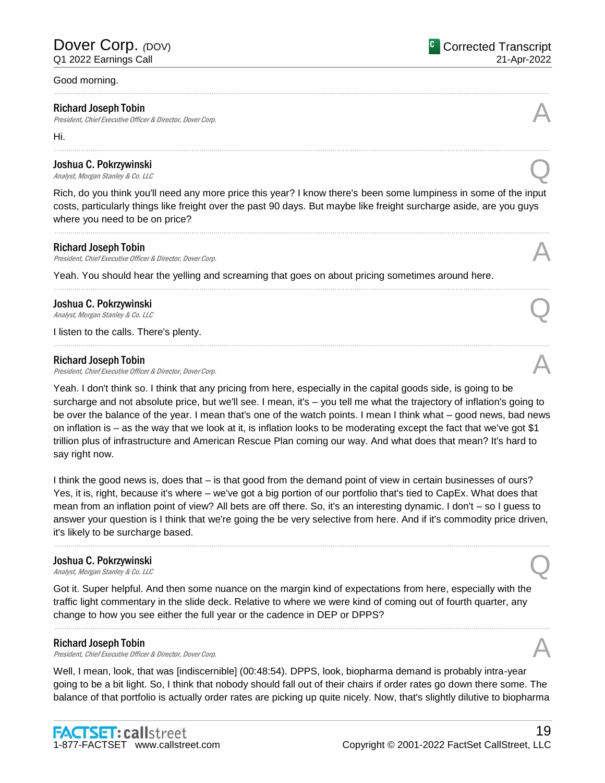### Good morning.

### Richard Joseph Tobin

President, Chief Executive Officer & Director, Dover Corp.

Hi.

# Joshua C. Pokrzywinski **Joshua C. Pokrzywinski**<br>Analyst, Morgan Stanley & Co. LLC

Rich, do you think you'll need any more price this year? I know there's been some lumpiness in some of the input costs, particularly things like freight over the past 90 days. But maybe like freight surcharge aside, are you guys where you need to be on price?

......................................................................................................................................................................................................................................................

......................................................................................................................................................................................................................................................

......................................................................................................................................................................................................................................................

......................................................................................................................................................................................................................................................

......................................................................................................................................................................................................................................................

### Richard Joseph Tobin

Richard Joseph Tobin<br>President, Chief Executive Officer & Director, Dover Corp.

Yeah. You should hear the yelling and screaming that goes on about pricing sometimes around here.

# Joshua C. Pokrzywinski **Joshua C. Pokrzywinski**<br>Analyst, Morgan Stanley & Co. LLC

I listen to the calls. There's plenty.

### Richard Joseph Tobin

Richard Joseph Tobin<br>President, Chief Executive Officer & Director, Dover Corp.

Yeah. I don't think so. I think that any pricing from here, especially in the capital goods side, is going to be surcharge and not absolute price, but we'll see. I mean, it's – you tell me what the trajectory of inflation's going to be over the balance of the year. I mean that's one of the watch points. I mean I think what – good news, bad news on inflation is – as the way that we look at it, is inflation looks to be moderating except the fact that we've got \$1 trillion plus of infrastructure and American Rescue Plan coming our way. And what does that mean? It's hard to say right now.

I think the good news is, does that – is that good from the demand point of view in certain businesses of ours? Yes, it is, right, because it's where – we've got a big portion of our portfolio that's tied to CapEx. What does that mean from an inflation point of view? All bets are off there. So, it's an interesting dynamic. I don't – so I guess to answer your question is I think that we're going the be very selective from here. And if it's commodity price driven, it's likely to be surcharge based.

......................................................................................................................................................................................................................................................

# Joshua C. Pokrzywinski **Joshua C. Pokrzywinski**<br>Analyst, Morgan Stanley & Co. LLC

Got it. Super helpful. And then some nuance on the margin kind of expectations from here, especially with the traffic light commentary in the slide deck. Relative to where we were kind of coming out of fourth quarter, any change to how you see either the full year or the cadence in DEP or DPPS?

### Richard Joseph Tobin

Richard Joseph Tobin<br>President, Chief Executive Officer & Director, Dover Corp.

Well, I mean, look, that was [indiscernible] (00:48:54). DPPS, look, biopharma demand is probably intra-year going to be a bit light. So, I think that nobody should fall out of their chairs if order rates go down there some. The balance of that portfolio is actually order rates are picking up quite nicely. Now, that's slightly dilutive to biopharma

......................................................................................................................................................................................................................................................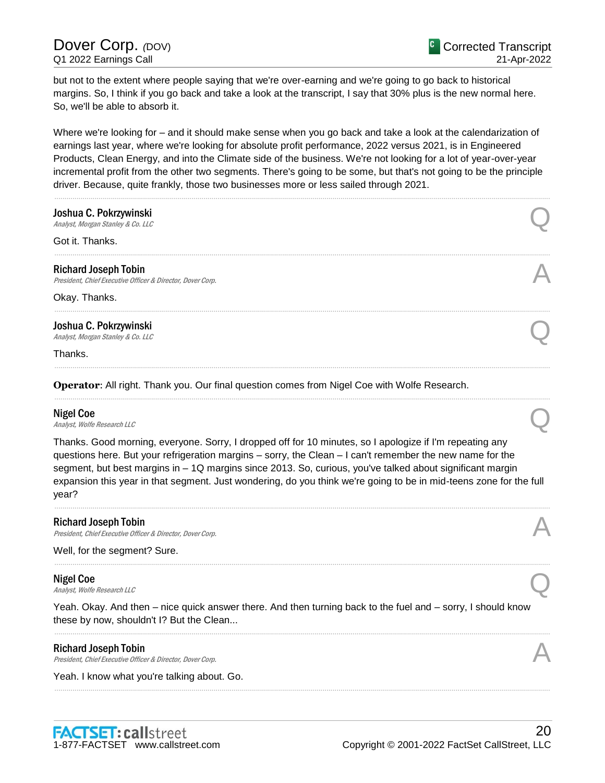# Dover Corp. *(DOV)* Q1 2022 Earnings Call

but not to the extent where people saying that we're over-earning and we're going to go back to historical margins. So, I think if you go back and take a look at the transcript, I say that 30% plus is the new normal here. So, we'll be able to absorb it.

Where we're looking for – and it should make sense when you go back and take a look at the calendarization of earnings last year, where we're looking for absolute profit performance, 2022 versus 2021, is in Engineered Products, Clean Energy, and into the Climate side of the business. We're not looking for a lot of year-over-year incremental profit from the other two segments. There's going to be some, but that's not going to be the principle driver. Because, quite frankly, those two businesses more or less sailed through 2021.

| Analyst, Morgan Stanley & Co. LLC<br>Got it. Thanks.                                                                                                                                                                                                                                                                                                                                                                                                              |  |
|-------------------------------------------------------------------------------------------------------------------------------------------------------------------------------------------------------------------------------------------------------------------------------------------------------------------------------------------------------------------------------------------------------------------------------------------------------------------|--|
|                                                                                                                                                                                                                                                                                                                                                                                                                                                                   |  |
| <b>Richard Joseph Tobin</b><br>President, Chief Executive Officer & Director, Dover Corp.                                                                                                                                                                                                                                                                                                                                                                         |  |
| Okay. Thanks.                                                                                                                                                                                                                                                                                                                                                                                                                                                     |  |
| Joshua C. Pokrzywinski<br>Analyst, Morgan Stanley & Co. LLC                                                                                                                                                                                                                                                                                                                                                                                                       |  |
| Thanks.                                                                                                                                                                                                                                                                                                                                                                                                                                                           |  |
| Operator: All right. Thank you. Our final question comes from Nigel Coe with Wolfe Research.                                                                                                                                                                                                                                                                                                                                                                      |  |
| <b>Nigel Coe</b><br>Analyst, Wolfe Research LLC                                                                                                                                                                                                                                                                                                                                                                                                                   |  |
| Thanks. Good morning, everyone. Sorry, I dropped off for 10 minutes, so I apologize if I'm repeating any<br>questions here. But your refrigeration margins – sorry, the Clean – I can't remember the new name for the<br>segment, but best margins in - 1Q margins since 2013. So, curious, you've talked about significant margin<br>expansion this year in that segment. Just wondering, do you think we're going to be in mid-teens zone for the full<br>year? |  |
| <b>Richard Joseph Tobin</b><br>President, Chief Executive Officer & Director, Dover Corp.                                                                                                                                                                                                                                                                                                                                                                         |  |
| Well, for the segment? Sure.                                                                                                                                                                                                                                                                                                                                                                                                                                      |  |
| <b>Nigel Coe</b>                                                                                                                                                                                                                                                                                                                                                                                                                                                  |  |
| Analyst, Wolfe Research LLC                                                                                                                                                                                                                                                                                                                                                                                                                                       |  |
| Yeah. Okay. And then – nice quick answer there. And then turning back to the fuel and – sorry, I should know<br>these by now, shouldn't I? But the Clean                                                                                                                                                                                                                                                                                                          |  |
| <b>Richard Joseph Tobin</b><br>President, Chief Executive Officer & Director, Dover Corp.                                                                                                                                                                                                                                                                                                                                                                         |  |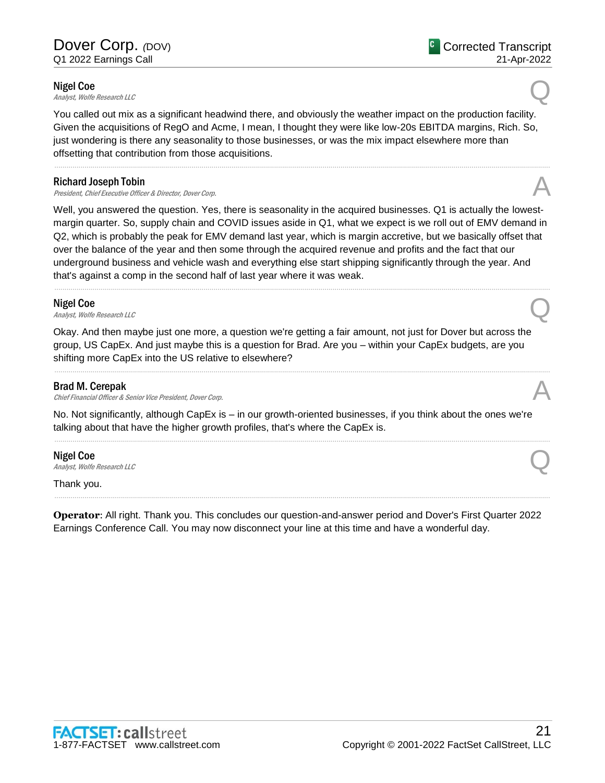**Nigel Coe**<br>Analyst, Wolfe Research LLC Nigel Coe  $\mathcal{A}_{\textit{Analyst, Wolfe} Research \, LLC}$ 

You called out mix as a significant headwind there, and obviously the weather impact on the production facility. Given the acquisitions of RegO and Acme, I mean, I thought they were like low-20s EBITDA margins, Rich. So, just wondering is there any seasonality to those businesses, or was the mix impact elsewhere more than offsetting that contribution from those acquisitions.

......................................................................................................................................................................................................................................................

### Richard Joseph Tobin

Richard Joseph Tobin<br>President, Chief Executive Officer & Director, Dover Corp.

Well, you answered the question. Yes, there is seasonality in the acquired businesses. Q1 is actually the lowestmargin quarter. So, supply chain and COVID issues aside in Q1, what we expect is we roll out of EMV demand in Q2, which is probably the peak for EMV demand last year, which is margin accretive, but we basically offset that over the balance of the year and then some through the acquired revenue and profits and the fact that our underground business and vehicle wash and everything else start shipping significantly through the year. And that's against a comp in the second half of last year where it was weak.

......................................................................................................................................................................................................................................................

### Nigel Coe

Nigel Coe  $\mathcal{A}_{\textit{Analyst, Wolfe Research LLC}}$ 

Okay. And then maybe just one more, a question we're getting a fair amount, not just for Dover but across the group, US CapEx. And just maybe this is a question for Brad. Are you – within your CapEx budgets, are you shifting more CapEx into the US relative to elsewhere?

......................................................................................................................................................................................................................................................

### Brad M. Cerepak

Chief Financial Officer & Senior Vice President, Dover Corp.

No. Not significantly, although CapEx is – in our growth-oriented businesses, if you think about the ones we're talking about that have the higher growth profiles, that's where the CapEx is.

......................................................................................................................................................................................................................................................

### Nigel Coe

**Nigel Coe**<br>Analyst, Wolfe Research LLC

Thank you.

**Operator**: All right. Thank you. This concludes our question-and-answer period and Dover's First Quarter 2022 Earnings Conference Call. You may now disconnect your line at this time and have a wonderful day.

......................................................................................................................................................................................................................................................